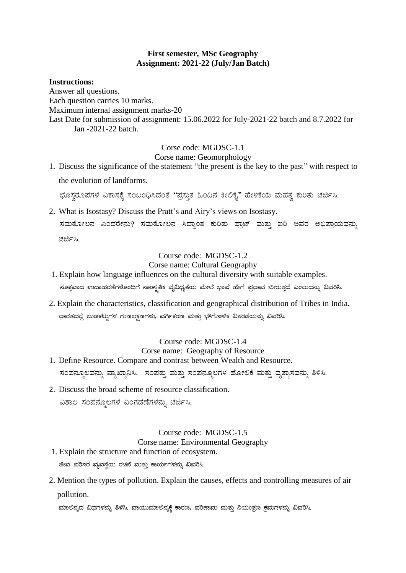# **First semester, MSc Geography Assignment: 2021-22 (July/Jan Batch)**

# **Instructions:**

Answer all questions. Each question carries 10 marks. Maximum internal assignment marks-20 Last Date for submission of assignment: 15.06.2022 for July-2021-22 batch and 8.7.2022 for Jan -2021-22 batch.

Corse code: MGDSC-1.1

Corse name: Geomorphology

1. Discuss the significance of the statement "the present is the key to the past" with respect to the evolution of landforms.

ಭೂಸ್ವರೂಪಗಳ ವಿಕಾಸಕ್ಕೆ ಸಂಬಂಧಿಸಿದಂತೆ "ಪ್ರಸ್ತುತ ಹಿಂದಿನ ಕೀಲಿಕೈ" ಹೇಳಿಕೆಯ ಮಹತ್ವ ಕುರಿತು ಚರ್ಚಿಸಿ.

2. What is Isostasy? Discuss the Pratt's and Airy's views on Isostasy. ಸಮತೋಲನ ಎಂದರೇನು? ಸಮತೋಲನ ಸಿದ್ಧಾಂತ ಕುರಿತು ಪ್ರಾಟ್ ಮತ್ತು ಐರಿ ಅವರ ಅಭಿಪ್ರಾಯವನ್ನು ಚರ್ಚಿಸಿ.

# Course code: MGDSC-1.2

# Corse name: Cultural Geography

- 1. Explain how language influences on the cultural diversity with suitable examples. ಸೂಕ್ತವಾದ ಉದಾಹರಣೆಗಳೊಂದಿಗೆ ಸಾಂಸ್ಕತಿಕ ವೈವಿಧ್ಯತೆಯ ಮೇಲೆ ಭಾಷೆ ಹೇಗೆ ಪ್ರಭಾವ ಬೀರುತ್ತದೆ ಎಂಬುದನ್ನು ವಿವರಿಸಿ.
- 2. Explain the characteristics, classification and geographical distribution of Tribes in India. ಭಾರತದಲ್ಲಿ ಬುಡಕಟ್ಟುಗಳ ಗುಣಲಕ್ಷಣಗಳು, ವರ್ಗಿಕರಣ ಮತ್ತು ಭೌಗೋಳಿಕ ವಿತರಣೆಯನ್ನು ವಿವರಿಸಿ.

#### Course code: MGDSC-1.4 Corse name: Geography of Resource

- 1. Define Resource. Compare and contrast between Wealth and Resource. ಸಂಪನ್ಮೂಲವನ್ನು ವ್ಯಾಖ್ಯಾನಿಸಿ. ಸಂಪತ್ತು ಮತ್ತು ಸಂಪನ್ಮೂಲಗಳ ಹೋಲಿಕೆ ಮತ್ತು ವ್ಯತ್ಯಾಸವನ್ನು ತಿಳಿಸಿ.
- 2. Discuss the broad scheme of resource classification. ವಿಶಾಲ ಸಂಪನ್ಮೂಲಗಳ ವಿಂಗಡಣೆಗಳನ್ನು ಚರ್ಚಿಸಿ.

# Course code: MGDSC-1.5

# Corse name: Environmental Geography

- 1. Explain the structure and function of ecosystem. ಜೀವ ಪರಿಸರ ವ್ಯವಸ್ಥೆಯ ರಚನೆ ಮತ್ತು ಕಾರ್ಯಗಳನ್ನು ವಿವರಿಸಿ.
- 2. Mention the types of pollution. Explain the causes, effects and controlling measures of air pollution.

ಮಾಲಿನ್ಯದ ವಿಧಗಳನ್ನು ತಿಳಿಸಿ. ವಾಯುಮಾಲಿನ್ಯಕ್ಕೆ ಕಾರಣ, ಪರಿಣಾಮ ಮತ್ತು ನಿಯಂತ್ರಣ ಕ್ರಮಗಳನ್ನು ವಿವರಿಸಿ.